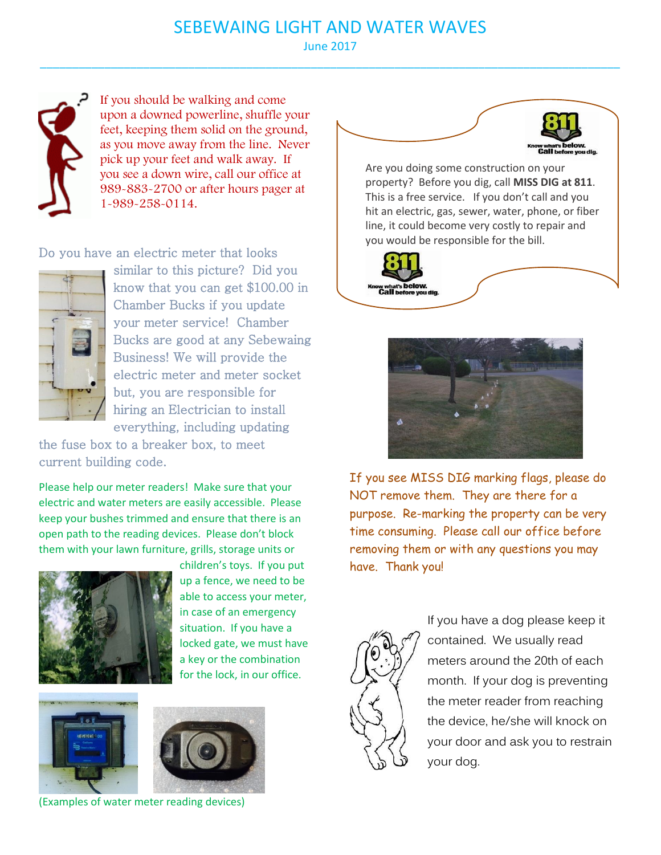## SEBEWAING LIGHT AND WATER WAVES

June 2017 \_\_\_\_\_\_\_\_\_\_\_\_\_\_\_\_\_\_\_\_\_\_\_\_\_\_\_\_\_\_\_\_\_\_\_\_\_\_\_\_\_\_\_\_\_\_\_\_\_\_\_\_\_\_\_\_\_\_\_\_\_\_\_\_\_\_\_\_\_\_\_\_\_\_\_\_\_\_\_\_\_\_\_\_\_\_\_\_\_\_



If you should be walking and come upon a downed powerline, shuffle your feet, keeping them solid on the ground, as you move away from the line. Never pick up your feet and walk away. If you see a down wire, call our office at 989-883-2700 or after hours pager at 1-989-258-0114.

Do you have an electric meter that looks



similar to this picture? Did you know that you can get \$100.00 in Chamber Bucks if you update your meter service! Chamber Bucks are good at any Sebewaing Business! We will provide the electric meter and meter socket but, you are responsible for hiring an Electrician to install everything, including updating

the fuse box to a breaker box, to meet current building code.

Please help our meter readers! Make sure that your electric and water meters are easily accessible. Please keep your bushes trimmed and ensure that there is an open path to the reading devices. Please don't block them with your lawn furniture, grills, storage units or



children's toys. If you put up a fence, we need to be able to access your meter, in case of an emergency situation. If you have a locked gate, we must have a key or the combination for the lock, in our office.





(Examples of water meter reading devices)



Are you doing some construction on your property? Before you dig, call **MISS DIG at 811**. This is a free service. If you don't call and you hit an electric, gas, sewer, water, phone, or fiber line, it could become very costly to repair and you would be responsible for the bill.





If you see MISS DIG marking flags, please do NOT remove them. They are there for a purpose. Re-marking the property can be very time consuming. Please call our office before removing them or with any questions you may have. Thank you!



If you have a dog please keep it contained. We usually read meters around the 20th of each month. If your dog is preventing the meter reader from reaching the device, he/she will knock on your door and ask you to restrain your dog.